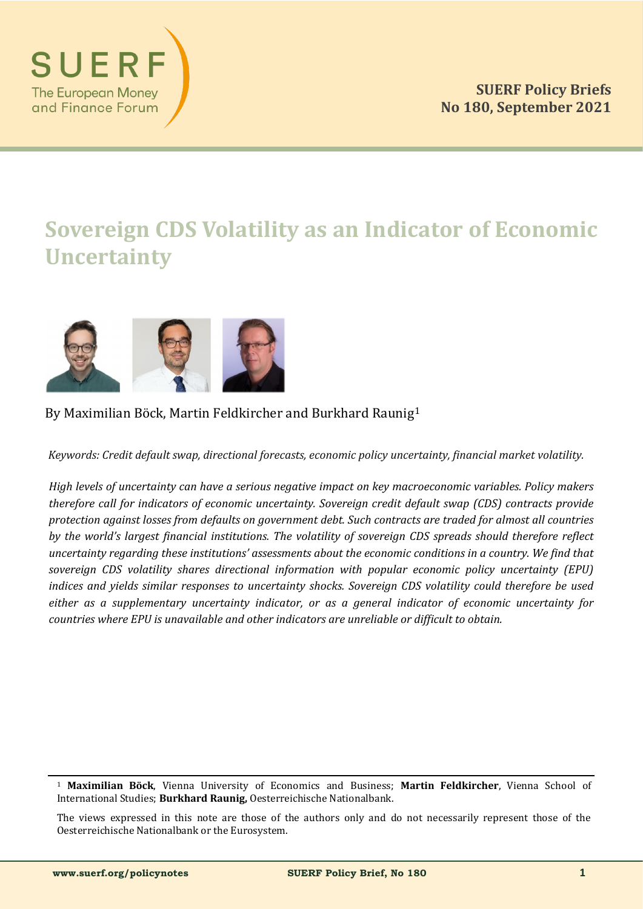

# **Sovereign CDS Volatility as an Indicator of Economic Uncertainty**



# By Maximilian Böck, Martin Feldkircher and Burkhard Raunig<sup>1</sup>

*Keywords: Credit default swap, directional forecasts, economic policy uncertainty, financial market volatility.*

*High levels of uncertainty can have a serious negative impact on key macroeconomic variables. Policy makers therefore call for indicators of economic uncertainty. Sovereign credit default swap (CDS) contracts provide protection against losses from defaults on government debt. Such contracts are traded for almost all countries by the world's largest financial institutions. The volatility of sovereign CDS spreads should therefore reflect uncertainty regarding these institutions' assessments about the economic conditions in a country. We find that sovereign CDS volatility shares directional information with popular economic policy uncertainty (EPU) indices and yields similar responses to uncertainty shocks. Sovereign CDS volatility could therefore be used either as a supplementary uncertainty indicator, or as a general indicator of economic uncertainty for countries where EPU is unavailable and other indicators are unreliable or difficult to obtain.*

<sup>1</sup> **Maximilian Böck**, Vienna University öf Ecönömics and Business; **Martin Feldkircher**, Vienna Schööl öf International Studies; **Burkhard Raunig**, Oesterreichische Nationalbank.

The views expressed in this note are those of the authors only and do not necessarily represent those of the Oesterreichische Nationalbank or the Eurosystem.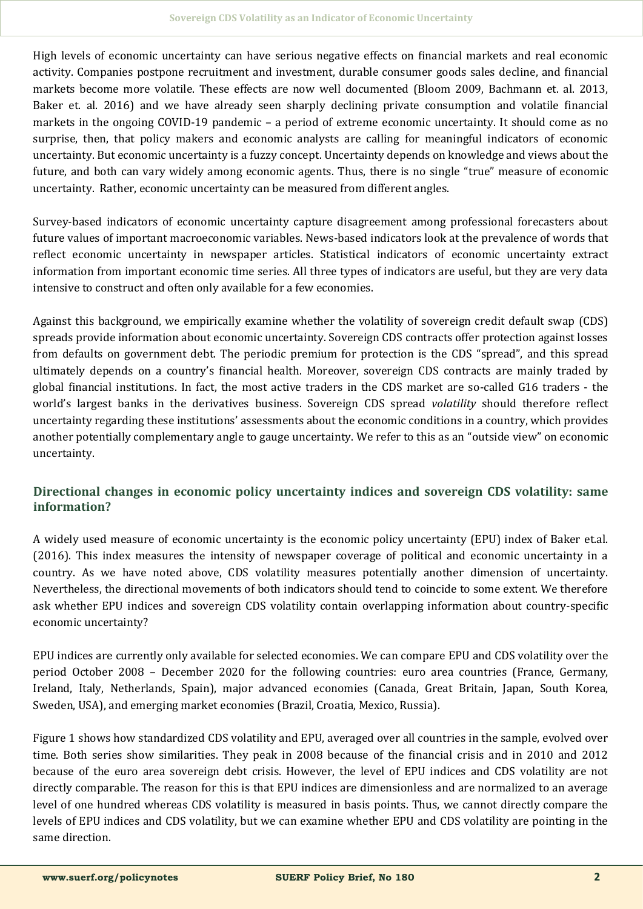High levels of economic uncertainty can have serious negative effects on financial markets and real economic activity. Companies postpone recruitment and investment, durable consumer goods sales decline, and financial markets become more volatile. These effects are now well documented (Bloom 2009, Bachmann et. al. 2013, Baker et. al. 2016) and we have already seen sharply declining private consumption and volatile financial markets in the ongoing COVID-19 pandemic – a period of extreme economic uncertainty. It should come as no surprise, then, that policy makers and economic analysts are calling for meaningful indicators of economic uncertainty. But economic uncertainty is a fuzzy concept. Uncertainty depends on knowledge and views about the future, and both can vary widely among economic agents. Thus, there is no single "true" measure of economic uncertainty. Rather, economic uncertainty can be measured from different angles.

Survey-based indicators of economic uncertainty capture disagreement among professional forecasters about future values of important macroeconomic variables. News-based indicators look at the prevalence of words that reflect economic uncertainty in newspaper articles. Statistical indicators of economic uncertainty extract information from important economic time series. All three types of indicators are useful, but they are very data intensive to construct and often only available for a few economies.

Against this background, we empirically examine whether the volatility of sovereign credit default swap (CDS) spreads provide information about economic uncertainty. Sovereign CDS contracts offer protection against losses from defaults on gövernment debt. The periodic premium for protection is the CDS "spread", and this spread ultimately depends on a country's financial health. Moreover, sovereign CDS contracts are mainly traded by global financial institutions. In fact, the most active traders in the CDS market are so-called G16 traders - the world's largest banks in the derivatives business. Sovereign CDS spread *volatility* should therefore reflect uncertainty regarding these institutions' assessments about the economic conditions in a country, which provides another potentially complementary angle to gauge uncertainty. We refer to this as an "outside view" on economic uncertainty.

# **Directional changes in economic policy uncertainty indices and sovereign CDS volatility: same information?**

A widely used measure of economic uncertainty is the economic policy uncertainty (EPU) index of Baker et.al. (2016). This index measures the intensity of newspaper coverage of political and economic uncertainty in a country. As we have noted above, CDS volatility measures potentially another dimension of uncertainty. Nevertheless, the directional movements of both indicators should tend to coincide to some extent. We therefore ask whether EPU indices and sovereign CDS volatility contain overlapping information about country-specific economic uncertainty?

EPU indices are currently only available for selected economies. We can compare EPU and CDS volatility over the periöd Octöber 2008 – December 2020 för the föllöwing cöuntries: eurö area cöuntries (France, Germany, Ireland, Italy, Netherlands, Spain), major advanced economies (Canada, Great Britain, Japan, South Körea, Sweden, USA), and emerging market economies (Brazil, Croatia, Mexico, Russia).

Figure 1 shows how standardized CDS volatility and EPU, averaged over all countries in the sample, evolved over time. Both series show similarities. They peak in 2008 because of the financial crisis and in 2010 and 2012 because of the euro area sovereign debt crisis. However, the level of EPU indices and CDS volatility are not directly comparable. The reason for this is that EPU indices are dimensionless and are normalized to an average level of one hundred whereas CDS volatility is measured in basis points. Thus, we cannot directly compare the levels of EPU indices and CDS volatility, but we can examine whether EPU and CDS volatility are pointing in the same direction.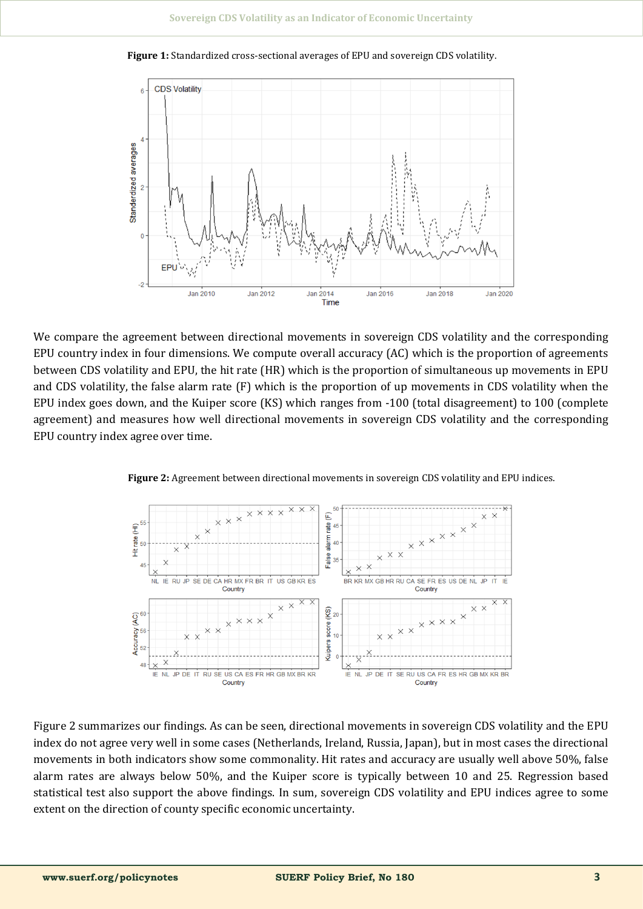

**Figure 1:** Standardized cross-sectional averages of EPU and sovereign CDS volatility.

We compare the agreement between directional movements in sovereign CDS volatility and the corresponding EPU country index in four dimensions. We compute overall accuracy (AC) which is the proportion of agreements between CDS volatility and EPU, the hit rate (HR) which is the proportion of simultaneous up movements in EPU and CDS volatility, the false alarm rate (F) which is the proportion of up movements in CDS volatility when the EPU index goes down, and the Kuiper score (KS) which ranges from -100 (total disagreement) to 100 (complete agreement) and measures how well directional movements in sovereign CDS volatility and the corresponding EPU country index agree over time.



Figure 2: Agreement between directional movements in sovereign CDS volatility and EPU indices.

Figure 2 summarizes our findings. As can be seen, directional movements in sovereign CDS volatility and the EPU index do not agree very well in some cases (Netherlands, Ireland, Russia, Japan), but in most cases the directional movements in both indicators show some commonality. Hit rates and accuracy are usually well above 50%, false alarm rates are always below 50%, and the Kuiper score is typically between 10 and 25. Regression based statistical test also support the above findings. In sum, sovereign CDS volatility and EPU indices agree to some extent on the direction of county specific economic uncertainty.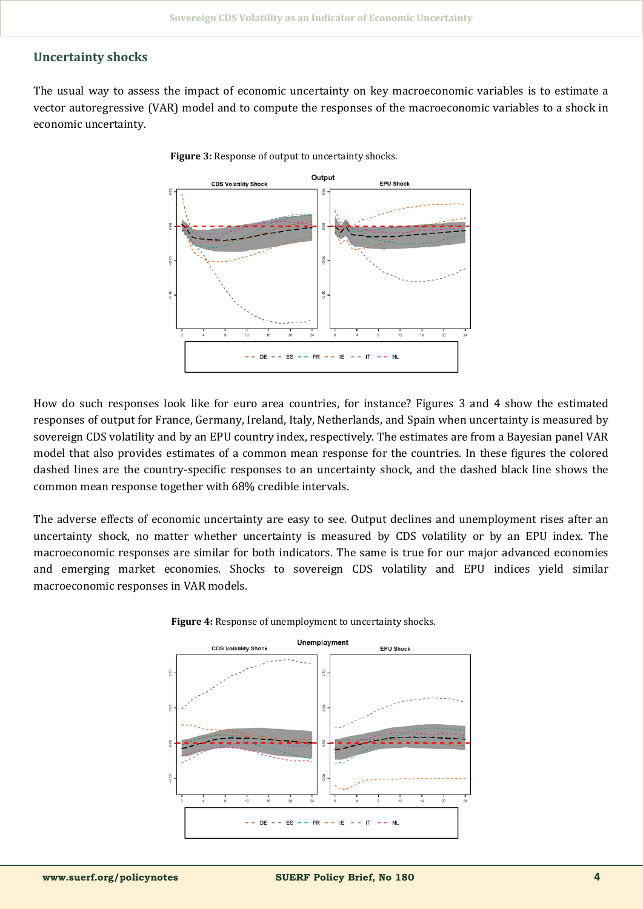## **Uncertainty shocks**

The usual way to assess the impact of economic uncertainty on key macroeconomic variables is to estimate a vector autoregressive (VAR) model and to compute the responses of the macroeconomic variables to a shock in economic uncertainty.



**Figure 3:** Response of output to uncertainty shocks.

How do such responses look like for euro area countries, for instance? Figures 3 and 4 show the estimated respönses öf öutput för France, Germany, Ireland, Italy, Netherlands, and Spain when uncertainty is measured by sovereign CDS volatility and by an EPU country index, respectively. The estimates are from a Bayesian panel VAR model that also provides estimates of a common mean response for the countries. In these figures the colored dashed lines are the country-specific responses to an uncertainty shock, and the dashed black line shows the common mean response together with 68% credible intervals.

The adverse effects of economic uncertainty are easy to see. Output declines and unemployment rises after an uncertainty shock, no matter whether uncertainty is measured by CDS volatility or by an EPU index. The macroeconomic responses are similar for both indicators. The same is true for our major advanced economies and emerging market economies. Shocks to sovereign CDS volatility and EPU indices yield similar macroeconomic responses in VAR models.



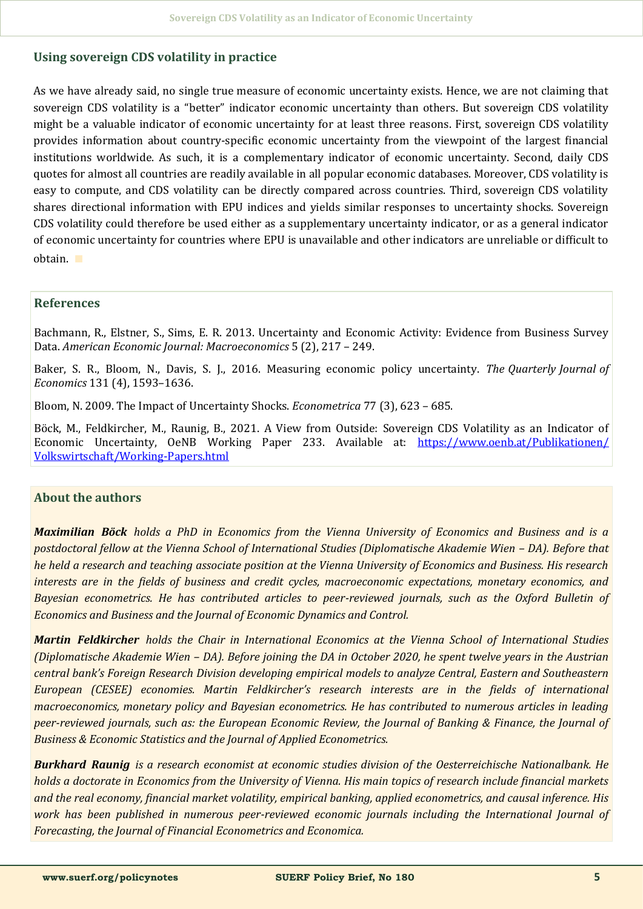#### **Using sovereign CDS volatility in practice**

As we have already said, no single true measure of economic uncertainty exists. Hence, we are not claiming that sovereign CDS volatility is a "better" indicator economic uncertainty than others. But sovereign CDS volatility might be a valuable indicator of economic uncertainty for at least three reasons. First, sovereign CDS volatility provides information about country-specific economic uncertainty from the viewpoint of the largest financial institutions worldwide. As such, it is a complementary indicator of economic uncertainty. Second, daily CDS quotes for almost all countries are readily available in all popular economic databases. Möreöver, CDS völatility is easy to compute, and CDS volatility can be directly compared across countries. Third, sovereign CDS volatility shares directional information with EPU indices and yields similar responses to uncertainty shocks. Sovereign CDS volatility could therefore be used either as a supplementary uncertainty indicator, or as a general indicator of economic uncertainty for countries where EPU is unavailable and other indicators are unreliable or difficult to öbtain. ∎

#### **References**

Bachmann, R., Elstner, S., Sims, E. R. 2013. Uncertainty and Economic Activity: Evidence from Business Survey Data. *American Economic Journal: Macroeconomics* 5 (2), 217 – 249.

Baker, S. R., Bloom, N., Davis, S. J., 2016. Measuring economic policy uncertainty. The Quarterly Journal of *Economics* 131 (4), 1593–1636.

Blööm, N. 2009. The Impact öf Uncertainty Shöcks. *Econometrica* 77 (3), 623 – 685.

Böck, M., Feldkircher, M., Raunig, B., 2021. A View from Outside: Sovereign CDS Volatility as an Indicator of Economic Uncertainty, OeNB Working Paper 233. Available at: https://www.oenb.at/Publikationen/ [Völkswirtschaft/Wörking](https://www.oenb.at/Publikationen/Volkswirtschaft/Working-Papers.html)-Papers.html

#### **About the authors**

*Maximilian Böck holds a PhD in Economics from the Vienna University of Economics and Business and is a postdoctoral fellow at the Vienna School of International Studies (Diplomatische Akademie Wien – DA). Before that he held a research and teaching associate position at the Vienna University of Economics and Business. His research interests are in the fields of business and credit cycles, macroeconomic expectations, monetary economics, and Bayesian econometrics. He has contributed articles to peer-reviewed journals, such as the Oxford Bulletin of Economics and Business and the Journal of Economic Dynamics and Control.*

*Martin Feldkircher holds the Chair in International Economics at the Vienna School of International Studies (Diplomatische Akademie Wien – DA). Before joining the DA in October 2020, he spent twelve years in the Austrian central bank's Foreign Research Division developing empirical models to analyze Central, Eastern and Southeastern European (CESEE) economies. Martin Feldkircher's research interests are in the fields of international macroeconomics, monetary policy and Bayesian econometrics. He has contributed to numerous articles in leading peer-reviewed journals, such as: the European Economic Review, the Journal of Banking & Finance, the Journal of Business & Economic Statistics and the Journal of Applied Econometrics.*

*Burkhard Raunig is a research economist at economic studies division of the Oesterreichische Nationalbank. He holds a doctorate in Economics from the University of Vienna. His main topics of research include financial markets and the real economy, financial market volatility, empirical banking, applied econometrics, and causal inference. His work has been published in numerous peer-reviewed economic journals including the International Journal of Forecasting, the Journal of Financial Econometrics and Economica.*